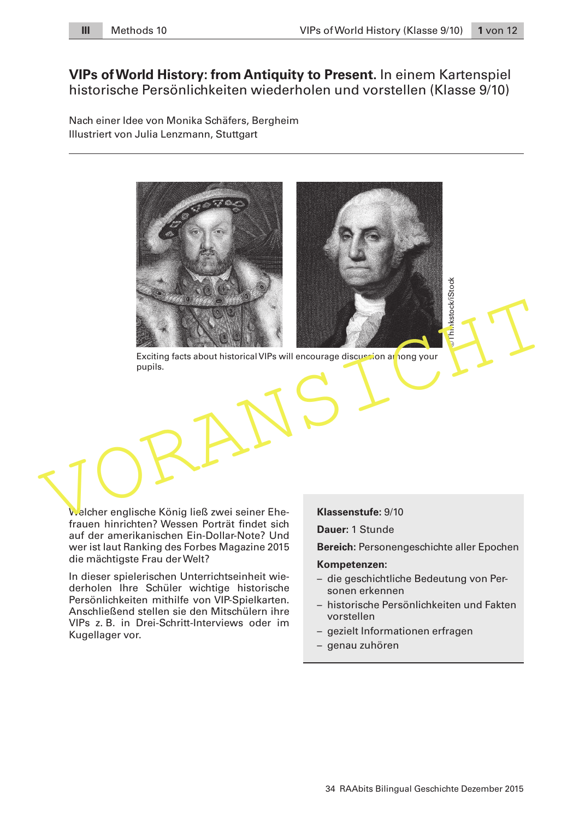# **VIPs of World History: from Antiquity to Present.** In einem Kartenspiel historische Persönlichkeiten wiederholen und vorstellen (Klasse 9/10)

Nach einer Idee von Monika Schäfers, Bergheim Illustriert von Julia Lenzmann, Stuttgart



Exciting facts about historical VIPs will encourage discussion an ong your pupils.

Welcher englische König ließ zwei seiner Ehefrauen hinrichten? Wessen Porträt findet sich auf der amerikanischen Ein-Dollar-Note? Und wer ist laut Ranking des Forbes Magazine 2015 die mächtigste Frau der Welt?

In dieser spielerischen Unterrichtseinheit wiederholen Ihre Schüler wichtige historische Persönlichkeiten mithilfe von VIP-Spielkarten. Anschließend stellen sie den Mitschülern ihre VIPs z. B. in Drei-Schritt-Interviews oder im Kugellager vor.

**Klassenstufe:** 9/10

**Dauer:** 1 Stunde

**Bereich:** Personengeschichte aller Epochen

#### **Kompetenzen:**

- die geschichtliche Bedeutung von Personen erkennen
- historische Persönlichkeiten und Fakten vorstellen
- gezielt Informationen erfragen
- genau zuhören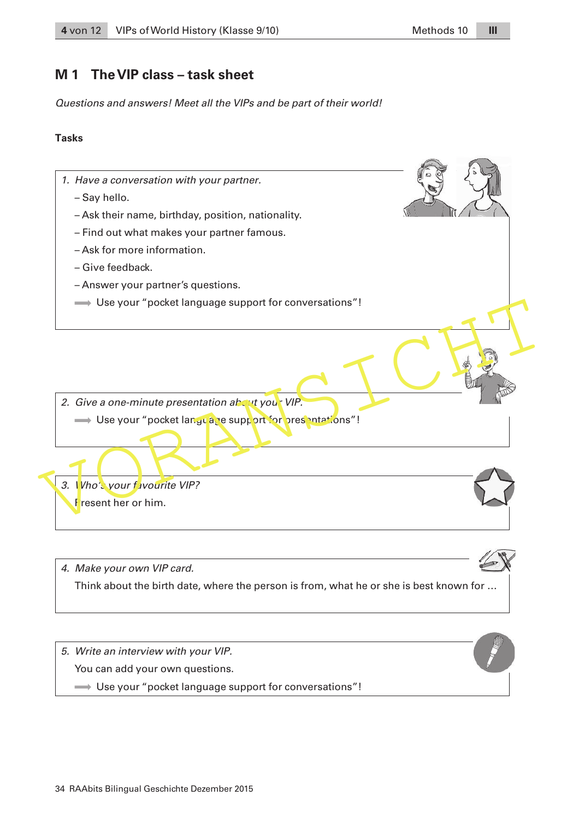# **M 1 The VIP class – task sheet**

Questions and answers! Meet all the VIPs and be part of their world!

### **Tasks**

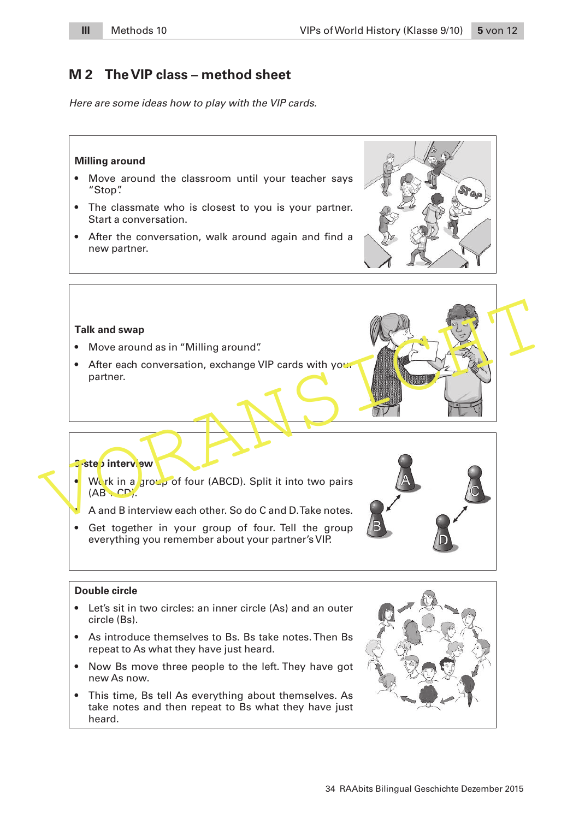# **M 2 The VIP class – method sheet**

Here are some ideas how to play with the VIP cards.



34 RAAbits Bilingual Geschichte Dezember 2015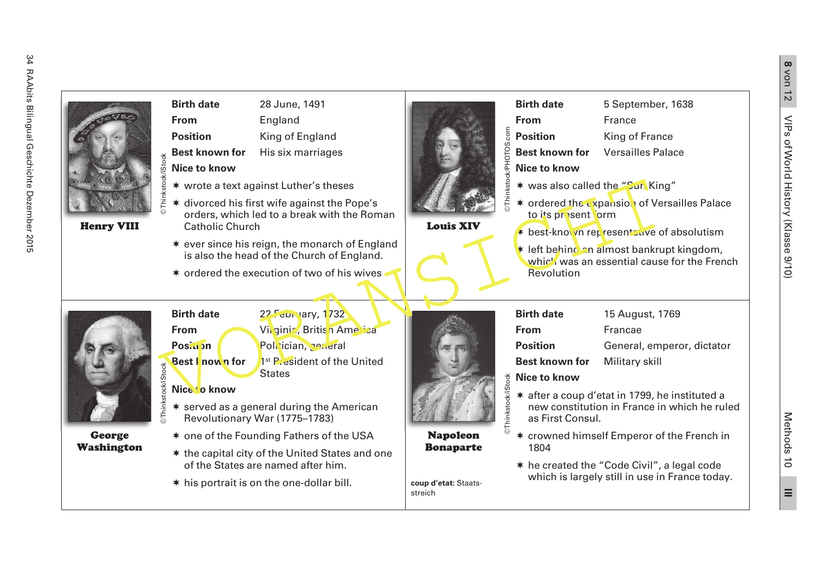

 $\equiv$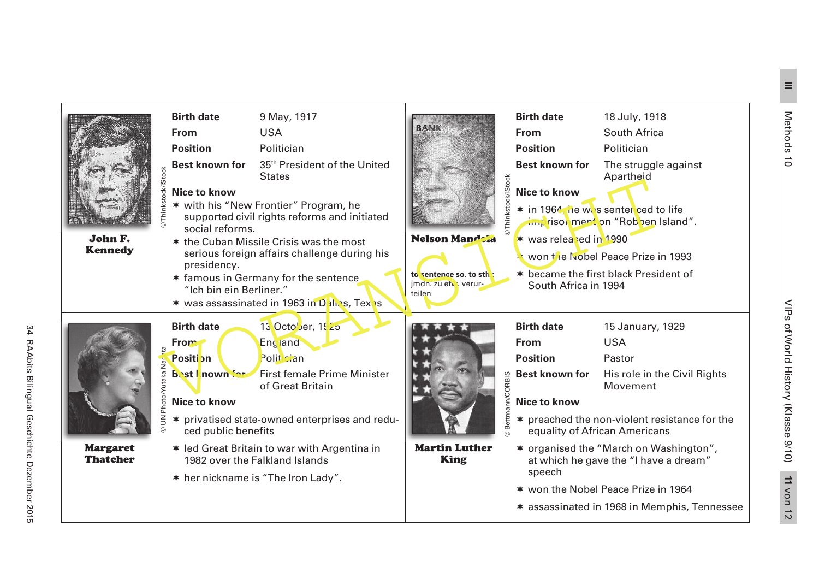

Margaret Thatcher

| <b>©Thinkstock/iStock</b>      | <b>Birth date</b>                                                                                                    | 9 May, 1917                                               |                                                          | <b>Birth date</b>                                                 | 18 July, 1918                  |
|--------------------------------|----------------------------------------------------------------------------------------------------------------------|-----------------------------------------------------------|----------------------------------------------------------|-------------------------------------------------------------------|--------------------------------|
|                                | <b>From</b>                                                                                                          | <b>USA</b>                                                | BANK                                                     | <b>From</b>                                                       | South Africa                   |
|                                | <b>Position</b>                                                                                                      | Politician                                                |                                                          | <b>Position</b>                                                   | Politician                     |
|                                | <b>Best known for</b>                                                                                                | 35 <sup>th</sup> President of the United<br><b>States</b> |                                                          | <b>Best known for</b>                                             | The struggle a<br>Apartheid    |
|                                | Nice to know                                                                                                         |                                                           | Thinkstock/iStock<br><b>Nelson Mandola</b>               | <b>Nice to know</b>                                               |                                |
|                                | * with his "New Frontier" Program, he<br>supported civil rights reforms and initiated<br>social reforms.             |                                                           |                                                          | * in 1964, he was senter ced to I                                 | im, risol ment on "Robben Isl  |
|                                | * the Cuban Missile Crisis was the most<br>serious foreign affairs challenge during his                              |                                                           |                                                          | * was released in 1990                                            |                                |
|                                | presidency.                                                                                                          |                                                           |                                                          | won the Nobel Peace Prize in                                      |                                |
|                                | * famous in Germany for the sentence<br>"Ich bin ein Berliner."<br>* was assassinated in 1963 in Dalles, Texas       |                                                           | to sentence so. to sth:<br>jmdn. zu etv verur-<br>teilen | * became the first black Preside<br>South Africa in 1994          |                                |
| UN Photo/Yutaka Nac<br>$\odot$ | <b>Birth date</b>                                                                                                    | 13 Octo' <sub>Jer</sub> , 1925                            |                                                          | <b>Birth date</b>                                                 | 15 January, 19                 |
|                                | <b>From</b>                                                                                                          | <b>England</b>                                            |                                                          | <b>From</b>                                                       | <b>USA</b>                     |
|                                | <b>Positi</b> on                                                                                                     | Polit cian                                                | <b>IRACORBIS</b>                                         | <b>Position</b>                                                   | Pastor                         |
|                                | <b>Bost I</b> nown for                                                                                               | <b>First female Prime Minister</b><br>of Great Britain    |                                                          | <b>Best known for</b>                                             | His role in the<br>Movement    |
|                                | <b>Nice to know</b>                                                                                                  |                                                           | © Bettm<br><b>Martin Luther</b><br><b>King</b>           | <b>Nice to know</b>                                               |                                |
|                                | * privatised state-owned enterprises and redu-<br>ced public benefits                                                |                                                           |                                                          | * preached the non-violent resis<br>equality of African Americans |                                |
|                                | * led Great Britain to war with Argentina in<br>1982 over the Falkland Islands<br>* her nickname is "The Iron Lady". |                                                           |                                                          | * organised the "March on Was                                     | at which he gave the "I have a |
|                                |                                                                                                                      |                                                           |                                                          | speech                                                            |                                |



- $*$  preached the non-violent resistance for the equality of African Americans
- \* organised the "March on Washington", at which he gave the "I have a dream" speech
- \* won the Nobel Peace Prize in 1964
- assassinated in 1968 in Memphis, Tennessee

Methods 10

**IIII**